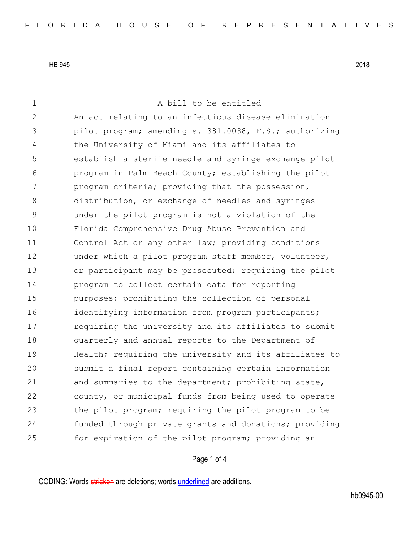1 a bill to be entitled 2 An act relating to an infectious disease elimination 3 pilot program; amending s. 381.0038, F.S.; authorizing 4 the University of Miami and its affiliates to 5 stablish a sterile needle and syringe exchange pilot 6 program in Palm Beach County; establishing the pilot 7 program criteria; providing that the possession, 8 distribution, or exchange of needles and syringes 9 9 under the pilot program is not a violation of the 10 Florida Comprehensive Drug Abuse Prevention and 11 Control Act or any other law; providing conditions 12 under which a pilot program staff member, volunteer, 13 or participant may be prosecuted; requiring the pilot 14 program to collect certain data for reporting 15 purposes; prohibiting the collection of personal 16 identifying information from program participants; 17 requiring the university and its affiliates to submit 18 quarterly and annual reports to the Department of 19 Health; requiring the university and its affiliates to 20 submit a final report containing certain information 21 and summaries to the department; prohibiting state, 22 county, or municipal funds from being used to operate 23 the pilot program; requiring the pilot program to be 24 funded through private grants and donations; providing 25 **for expiration of the pilot program;** providing an

## Page 1 of 4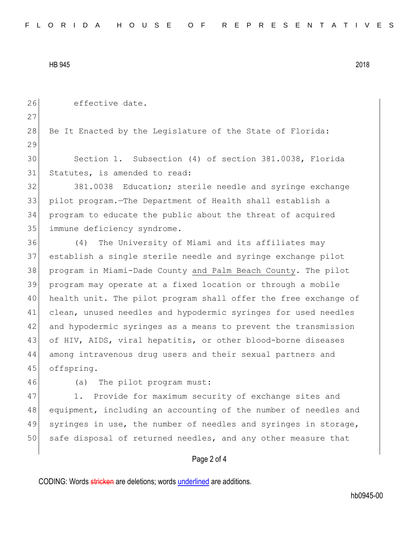26 effective date. 27 28 Be It Enacted by the Legislature of the State of Florida: 29 30 Section 1. Subsection (4) of section 381.0038, Florida 31 Statutes, is amended to read: 32 381.0038 Education; sterile needle and syringe exchange 33 pilot program.—The Department of Health shall establish a 34 program to educate the public about the threat of acquired 35 immune deficiency syndrome. 36 (4) The University of Miami and its affiliates may 37 establish a single sterile needle and syringe exchange pilot 38 program in Miami-Dade County and Palm Beach County. The pilot 39 program may operate at a fixed location or through a mobile 40 health unit. The pilot program shall offer the free exchange of 41 clean, unused needles and hypodermic syringes for used needles 42 and hypodermic syringes as a means to prevent the transmission 43 of HIV, AIDS, viral hepatitis, or other blood-borne diseases 44 among intravenous drug users and their sexual partners and 45 offspring. 46 (a) The pilot program must: 47 1. Provide for maximum security of exchange sites and 48 equipment, including an accounting of the number of needles and 49 syringes in use, the number of needles and syringes in storage, 50 safe disposal of returned needles, and any other measure that

Page 2 of 4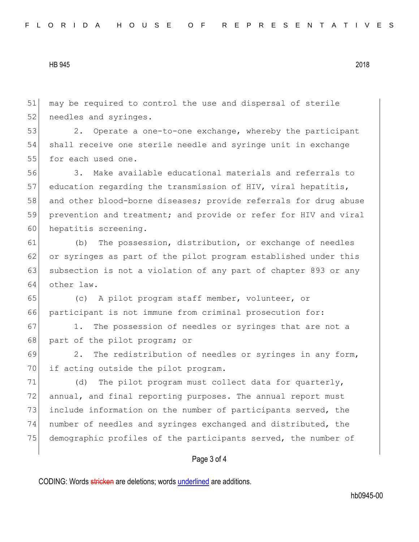51 may be required to control the use and dispersal of sterile 52 needles and syringes.

53 2. Operate a one-to-one exchange, whereby the participant 54 shall receive one sterile needle and syringe unit in exchange 55 for each used one.

56 3. Make available educational materials and referrals to 57 education regarding the transmission of HIV, viral hepatitis, 58 and other blood-borne diseases; provide referrals for drug abuse 59 prevention and treatment; and provide or refer for HIV and viral 60 hepatitis screening.

61 (b) The possession, distribution, or exchange of needles 62 or syringes as part of the pilot program established under this 63 subsection is not a violation of any part of chapter 893 or any 64 other law.

65 (c) A pilot program staff member, volunteer, or 66 participant is not immune from criminal prosecution for:

67 1. The possession of needles or syringes that are not a 68 part of the pilot program; or

69 2. The redistribution of needles or syringes in any form, 70 if acting outside the pilot program.

71 (d) The pilot program must collect data for quarterly, 72 annual, and final reporting purposes. The annual report must 73 include information on the number of participants served, the 74 number of needles and syringes exchanged and distributed, the 75 demographic profiles of the participants served, the number of

## Page 3 of 4